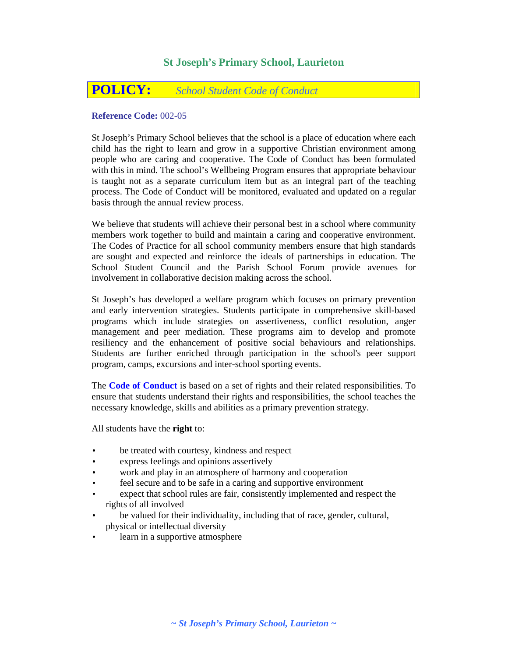# **St Joseph's Primary School, Laurieton**

# **POLICY:** *School Student Code of Conduct*

# **Reference Code:** 002-05

St Joseph's Primary School believes that the school is a place of education where each child has the right to learn and grow in a supportive Christian environment among people who are caring and cooperative. The Code of Conduct has been formulated with this in mind. The school's Wellbeing Program ensures that appropriate behaviour is taught not as a separate curriculum item but as an integral part of the teaching process. The Code of Conduct will be monitored, evaluated and updated on a regular basis through the annual review process.

We believe that students will achieve their personal best in a school where community members work together to build and maintain a caring and cooperative environment. The Codes of Practice for all school community members ensure that high standards are sought and expected and reinforce the ideals of partnerships in education. The School Student Council and the Parish School Forum provide avenues for involvement in collaborative decision making across the school.

St Joseph's has developed a welfare program which focuses on primary prevention and early intervention strategies. Students participate in comprehensive skill-based programs which include strategies on assertiveness, conflict resolution, anger management and peer mediation. These programs aim to develop and promote resiliency and the enhancement of positive social behaviours and relationships. Students are further enriched through participation in the school's peer support program, camps, excursions and inter-school sporting events.

The **Code of Conduct** is based on a set of rights and their related responsibilities. To ensure that students understand their rights and responsibilities, the school teaches the necessary knowledge, skills and abilities as a primary prevention strategy.

All students have the **right** to:

- be treated with courtesy, kindness and respect
- express feelings and opinions assertively
- work and play in an atmosphere of harmony and cooperation
- feel secure and to be safe in a caring and supportive environment
- expect that school rules are fair, consistently implemented and respect the rights of all involved
- be valued for their individuality, including that of race, gender, cultural, physical or intellectual diversity
- learn in a supportive atmosphere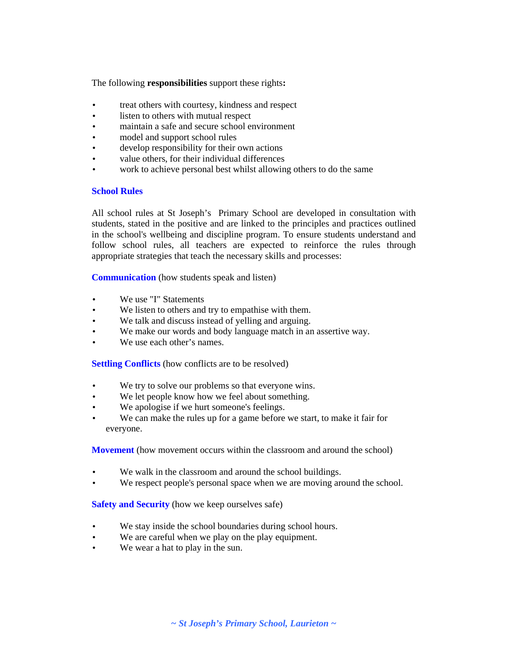The following **responsibilities** support these rights**:**

- treat others with courtesy, kindness and respect
- listen to others with mutual respect
- maintain a safe and secure school environment
- model and support school rules
- develop responsibility for their own actions
- value others, for their individual differences
- work to achieve personal best whilst allowing others to do the same

#### **School Rules**

All school rules at St Joseph's Primary School are developed in consultation with students, stated in the positive and are linked to the principles and practices outlined in the school's wellbeing and discipline program. To ensure students understand and follow school rules, all teachers are expected to reinforce the rules through appropriate strategies that teach the necessary skills and processes:

**Communication** (how students speak and listen)

- We use "I" Statements
- We listen to others and try to empathise with them.
- We talk and discuss instead of yelling and arguing.
- We make our words and body language match in an assertive way.
- We use each other's names.

**Settling Conflicts** (how conflicts are to be resolved)

- We try to solve our problems so that everyone wins.
- We let people know how we feel about something.
- We apologise if we hurt someone's feelings.
- We can make the rules up for a game before we start, to make it fair for everyone.

**Movement** (how movement occurs within the classroom and around the school)

- We walk in the classroom and around the school buildings.
- We respect people's personal space when we are moving around the school.

### **Safety and Security** (how we keep ourselves safe)

- We stay inside the school boundaries during school hours.
- We are careful when we play on the play equipment.
- We wear a hat to play in the sun.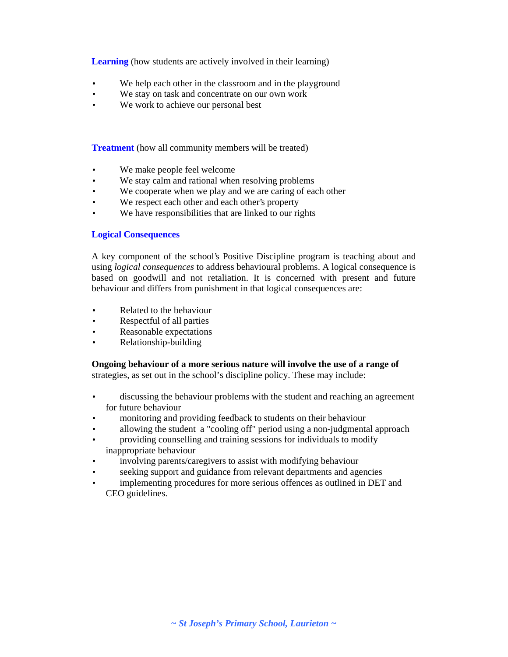**Learning** (how students are actively involved in their learning)

- We help each other in the classroom and in the playground
- We stay on task and concentrate on our own work
- We work to achieve our personal best

**Treatment** (how all community members will be treated)

- We make people feel welcome
- We stay calm and rational when resolving problems
- We cooperate when we play and we are caring of each other
- We respect each other and each other's property
- We have responsibilities that are linked to our rights

# **Logical Consequences**

A key component of the school's Positive Discipline program is teaching about and using *logical consequences* to address behavioural problems. A logical consequence is based on goodwill and not retaliation. It is concerned with present and future behaviour and differs from punishment in that logical consequences are:

- Related to the behaviour
- Respectful of all parties
- Reasonable expectations
- Relationship-building

### **Ongoing behaviour of a more serious nature will involve the use of a range of**

strategies, as set out in the school's discipline policy. These may include:

- discussing the behaviour problems with the student and reaching an agreement for future behaviour
- monitoring and providing feedback to students on their behaviour
- allowing the student a "cooling off" period using a non-judgmental approach
- providing counselling and training sessions for individuals to modify inappropriate behaviour
- involving parents/caregivers to assist with modifying behaviour
- seeking support and guidance from relevant departments and agencies
- implementing procedures for more serious offences as outlined in DET and CEO guidelines.